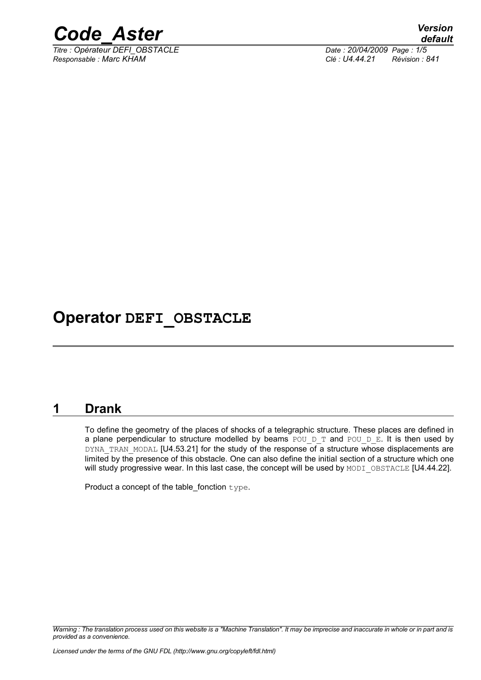

*Responsable : Marc KHAM Clé : U4.44.21 Révision : 841*

## **Operator DEFI\_OBSTACLE**

#### **1 Drank**

To define the geometry of the places of shocks of a telegraphic structure. These places are defined in a plane perpendicular to structure modelled by beams POU D T and POU D E. It is then used by DYNA TRAN MODAL [U4.53.21] for the study of the response of a structure whose displacements are limited by the presence of this obstacle. One can also define the initial section of a structure which one will study progressive wear. In this last case, the concept will be used by MODI OBSTACLE [U4.44.22].

Product a concept of the table\_fonction type.

*Warning : The translation process used on this website is a "Machine Translation". It may be imprecise and inaccurate in whole or in part and is provided as a convenience.*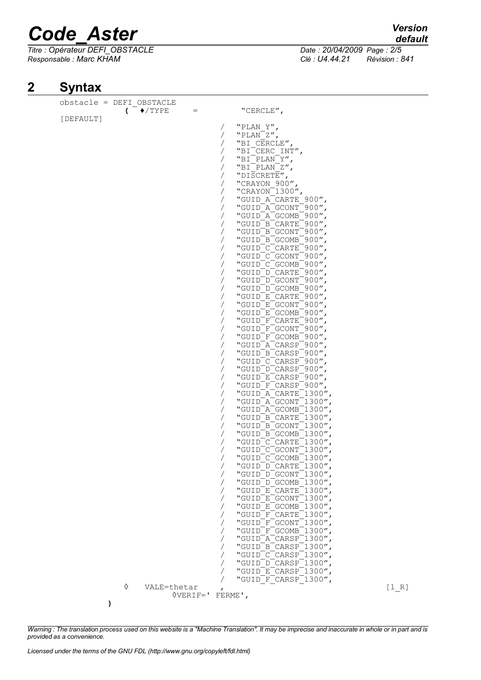*Titre : Opérateur DEFI\_OBSTACLE Date : 20/04/2009 Page : 2/5 Responsable : Marc KHAM Clé : U4.44.21 Révision : 841*

### **2 Syntax**

| obstacle = DEFI OBSTACLE |                                  |                          |                                                            |       |
|--------------------------|----------------------------------|--------------------------|------------------------------------------------------------|-------|
|                          | $($ $\blacklozenge$ /TYPE<br>$=$ |                          | "CERCLE",                                                  |       |
| [DEFAULT]                |                                  |                          |                                                            |       |
|                          |                                  | $\sqrt{2}$               | "PLAN Y",                                                  |       |
|                          |                                  | $\sqrt{2}$               | "PLAN Z",                                                  |       |
|                          |                                  | $\sqrt{2}$               | "BI CERCLE",                                               |       |
|                          |                                  | $\sqrt{2}$               | "BI CERC INT",                                             |       |
|                          |                                  | $\sqrt{2}$               | "BI PLAN Y",                                               |       |
|                          |                                  | $\sqrt{2}$               | "BI PLAN Z",                                               |       |
|                          |                                  | $\sqrt{2}$               | "DISCRETE",                                                |       |
|                          |                                  | $\sqrt{2}$               | "CRAYON 900",<br>"CRAYON $^-$ 1300",                       |       |
|                          |                                  | $\sqrt{2}$<br>$\sqrt{2}$ | "GUID A CARTE 900",                                        |       |
|                          |                                  | $\sqrt{2}$               | "GUID A GCONT 900",                                        |       |
|                          |                                  | $\sqrt{2}$               | "GUID A GCOMB 900",                                        |       |
|                          |                                  | $\sqrt{2}$               | "GUID <sup>B</sup> CARTE <sup>-900"</sup>                  |       |
|                          |                                  | $\sqrt{2}$               | "GUID B GCONT 900",                                        |       |
|                          |                                  | $\sqrt{2}$               | "GUID B GCOMB 900",                                        |       |
|                          |                                  | $\sqrt{2}$               | "GUID C CARTE 900",                                        |       |
|                          |                                  | $\sqrt{2}$               | "GUID C GCONT 900",                                        |       |
|                          |                                  | $\sqrt{2}$               | "GUID <sup>-</sup> C <sup>-</sup> GCOMB <sup>-900"</sup> , |       |
|                          |                                  | $\sqrt{2}$               | "GUID <sup>-</sup> D <sup>-</sup> CARTE <sup>-900"</sup> , |       |
|                          |                                  | $\sqrt{2}$               | "GUID D GCONT 900",                                        |       |
|                          |                                  | $\sqrt{2}$               | "GUID D GCOMB 900",                                        |       |
|                          |                                  | $\sqrt{2}$               | "GUID E CARTE 900",                                        |       |
|                          |                                  | $\sqrt{2}$               | "GUID E GCONT 900",                                        |       |
|                          |                                  | $\sqrt{2}$               | "GUID E GCOMB 900",                                        |       |
|                          |                                  | $\sqrt{2}$               | "GUID F CARTE 900",                                        |       |
|                          |                                  | $\sqrt{2}$               | "GUID F GCONT 900",                                        |       |
|                          |                                  | $\sqrt{2}$               | "GUID F GCOMB 900",                                        |       |
|                          |                                  | $\sqrt{2}$               | "GUID A CARSP 900",                                        |       |
|                          |                                  | $\sqrt{2}$               | "GUID B CARSP 900",                                        |       |
|                          |                                  | $\sqrt{2}$               | "GUID C CARSP 900",                                        |       |
|                          |                                  | $\sqrt{2}$               | "GUID D CARSP 900",                                        |       |
|                          |                                  | $\sqrt{2}$               | "GUID E CARSP 900",                                        |       |
|                          |                                  | $\sqrt{2}$               | "GUID F CARSP 900",                                        |       |
|                          |                                  | $\sqrt{2}$               | "GUID A CARTE 1300",                                       |       |
|                          |                                  | $\sqrt{2}$<br>$\sqrt{2}$ | "GUID A GCONT 1300",<br>"GUID A GCOMB 1300"                |       |
|                          |                                  | $\sqrt{2}$               | "GUID B CARTE 1300",                                       |       |
|                          |                                  | $\sqrt{2}$               | "GUID B GCONT 1300",                                       |       |
|                          |                                  | $\sqrt{2}$               | "GUID B GCOMB 1300"                                        |       |
|                          |                                  |                          | "GUID C CARTE 1300",                                       |       |
|                          |                                  |                          | "GUID <sup>-</sup> C <sup>-</sup> GCONT <sup>-1300"</sup>  |       |
|                          |                                  |                          | "GUID C GCOMB 1300",                                       |       |
|                          |                                  |                          | "GUID D CARTE 1300",                                       |       |
|                          |                                  |                          | "GUID D GCONT 1300",                                       |       |
|                          |                                  |                          | "GUID D GCOMB 1300"                                        |       |
|                          |                                  | $\sqrt{2}$               | "GUID E CARTE 1300",                                       |       |
|                          |                                  |                          | "GUID E GCONT 1300",                                       |       |
|                          |                                  | $\sqrt{2}$               | "GUID E GCOMB 1300"                                        |       |
|                          |                                  |                          | "GUID F CARTE 1300",                                       |       |
|                          |                                  |                          | "GUID F GCONT 1300",                                       |       |
|                          |                                  |                          | "GUID F GCOMB 1300"                                        |       |
|                          |                                  |                          | "GUID A CARSP 1300",                                       |       |
|                          |                                  |                          | "GUID B CARSP 1300",                                       |       |
|                          |                                  |                          | "GUID C CARSP 1300"                                        |       |
|                          |                                  | $\sqrt{2}$               | "GUID D CARSP 1300",                                       |       |
|                          |                                  |                          | "GUID E CARSP 1300",                                       |       |
|                          |                                  |                          | "GUID <sup>-F-</sup> CARSP <sup>-1300",</sup>              |       |
| ♦                        | VALE=thetar                      |                          |                                                            | [1 R] |
|                          | $\Diamond$ VERIF='               |                          | FERME',                                                    |       |

*Warning : The translation process used on this website is a "Machine Translation". It may be imprecise and inaccurate in whole or in part and is provided as a convenience.*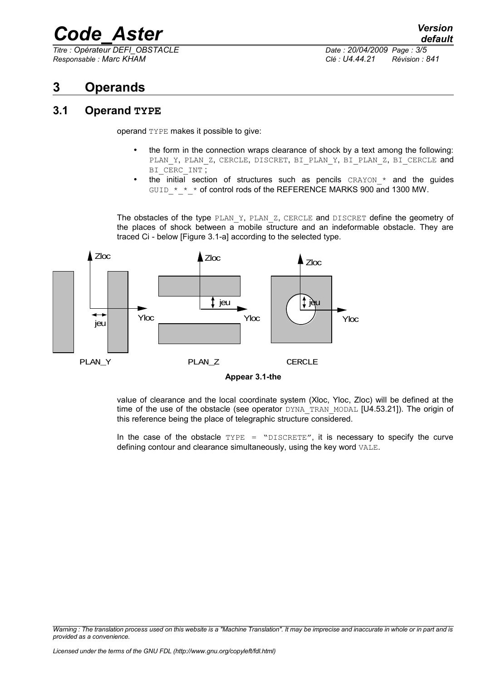*Titre : Opérateur DEFI\_OBSTACLE Date : 20/04/2009 Page : 3/5 Responsable : Marc KHAM Clé : U4.44.21 Révision : 841*

### **3 Operands**

#### **3.1 Operand TYPE**

operand TYPE makes it possible to give:

- the form in the connection wraps clearance of shock by a text among the following: PLAN\_Y, PLAN\_Z, CERCLE, DISCRET, BI\_PLAN\_Y, BI\_PLAN\_Z, BI\_CERCLE and BI\_CERC\_INT ;
- the initial section of structures such as pencils  $CRAYON *$  and the guides GUID  $*$   $*$   $*$  of control rods of the REFERENCE MARKS 900 and 1300 MW.

The obstacles of the type PLAN Y, PLAN Z, CERCLE and DISCRET define the geometry of the places of shock between a mobile structure and an indeformable obstacle. They are traced Ci - below [Figure 3.1-a] according to the selected type.



**Appear 3.1-the**

value of clearance and the local coordinate system (Xloc, Yloc, Zloc) will be defined at the time of the use of the obstacle (see operator DYNA\_TRAN\_MODAL [U4.53.21]). The origin of this reference being the place of telegraphic structure considered.

In the case of the obstacle  $TYPE = "DISCRETE",$  it is necessary to specify the curve defining contour and clearance simultaneously, using the key word VALE.

*Warning : The translation process used on this website is a "Machine Translation". It may be imprecise and inaccurate in whole or in part and is provided as a convenience.*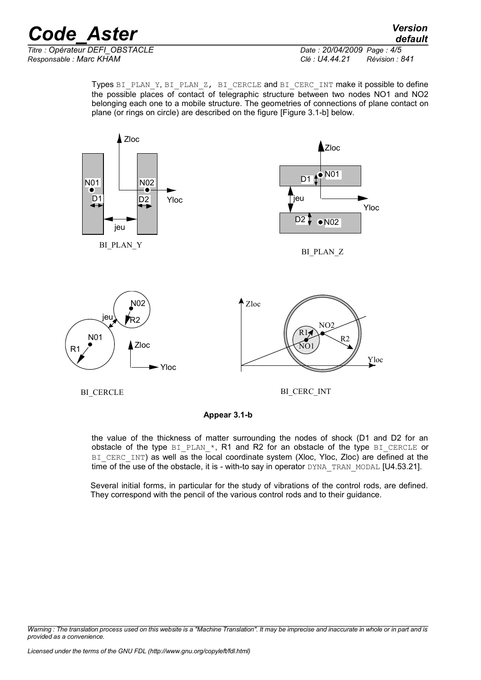*default*

*Titre : Opérateur DEFI\_OBSTACLE Date : 20/04/2009 Page : 4/5 Responsable : Marc KHAM Clé : U4.44.21 Révision : 841*

Types BI\_PLAN\_Y, BI\_PLAN\_Z, BI\_CERCLE and BI\_CERC\_INT make it possible to define the possible places of contact of telegraphic structure between two nodes NO1 and NO2 belonging each one to a mobile structure. The geometries of connections of plane contact on plane (or rings on circle) are described on the figure [Figure 3.1-b] below.



BI\_CERCLE

BI\_CERC\_INT

**Appear 3.1-b**

the value of the thickness of matter surrounding the nodes of shock (D1 and D2 for an obstacle of the type BI\_PLAN\_\*, R1 and R2 for an obstacle of the type BI\_CERCLE or BI\_CERC\_INT) as well as the local coordinate system (Xloc, Yloc, Zloc) are defined at the time of the use of the obstacle, it is - with-to say in operator  $DYNA$  TRAN MODAL [U4.53.21].

Several initial forms, in particular for the study of vibrations of the control rods, are defined. They correspond with the pencil of the various control rods and to their guidance.

*Warning : The translation process used on this website is a "Machine Translation". It may be imprecise and inaccurate in whole or in part and is provided as a convenience.*